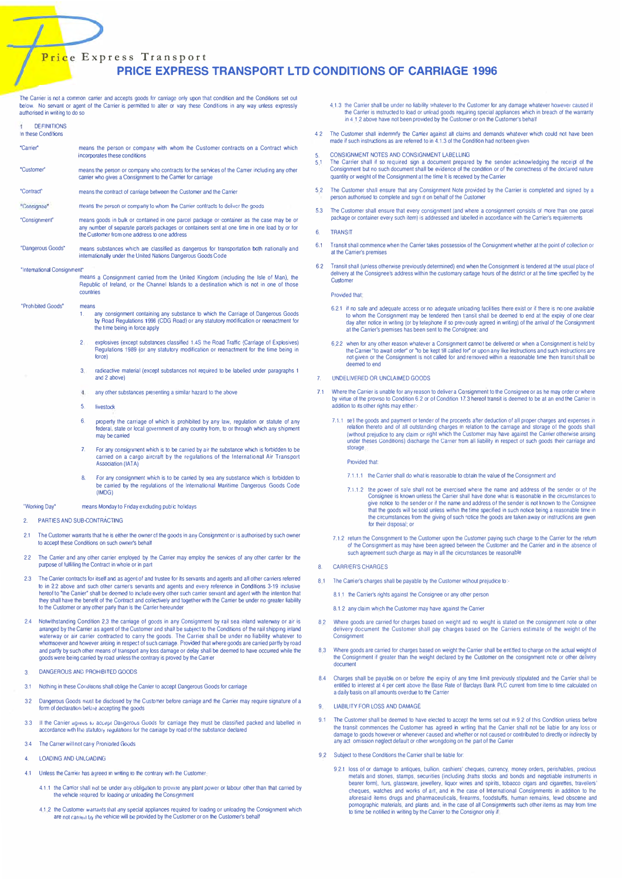# **PRICE EXPRESS TRANSPORT LTD CONDITIONS OF CARRIAGE 1996**

The Carrier is not a common carrier and accepts goods for carriage only upon that condition and the Conditions set out below. No servant or agent of the Carrier is permitted to alter or vary these Conditions in any way unl authorised in writing to do so

- DEFINITIONS In these Conditions "Carrier" means the person or company with whom the Customer contracts on a Contract which  $51$ "Custome means the person or company who contracts for the services of the Camer including any other carrier who gives a Consignment to the Carrier for carriage  $5.2$ "Contract" means the contract of carriage between the Customer and the Carrier "Consigned means the person or company to whom the Carrier contracts to deliver the goods  $5.3$ means goods in bulk or contained in one parcel package or container as the case may be o "Consignment" any number of separate parcels packages or containers sent at one time in one load by or for the Customer from one address to one address TRANSIT 6.1 means substances which are classified as dangerous for transportation both nationally and "Dangerous Goods" internationally under the United Nations Dangerous Goods Code  $6.2$ "International Consignment means a Consignment carried from the United Kingdom (including the Isle of Man), the Republic of Ireland, or the Channel Islands to a destination which is not in one of those Custon countries "Prohibited Goods" means any consignment containing any substance to which the Carriage of Dangerous Goods by Road Regulations 1996 (CDG Road) or any statutory modification or reenactment for the time being in force apply explosives (except substances classified 1.4S the Road Traffic (Carriage of Explosives)<br>Regulations 1989 (or any statutory modification or reenactment for the time being in  $\overline{2}$ force)  $\mathbf{R}$ radioactive material (except substances not required to be labelled under paragraphs 1 and 2 above)  $\overline{7}$  $\overline{4}$ any other substances presenting a similar hazard to the above  $\leq$ livestock property the carriage of which is prohibited by any law, regulation or statute of any  $6\overline{6}$ federal, state or local government of any country from, to or through which any shipment may be carried  $\overline{z}$ For any consignment which is to be carried by air the substance which is forbidden to be convergence in mixing to be carried by air the stustance which is forbidden to be carried on a cargo aircraft by the regulations of the International Air Transport Association (IATA) For any consignment which is to be carried by sea any substance which is forbidden to be carried by the regulations of the International Maritime Dangerous Goods Code  $(IMDG)$ "Working Dav" means Monday to Friday excluding public holidays PARTIES AND SUB-CONTRACTING  $\mathfrak{D}$  $2.1$ The Customer warrants that he is either the owner of the goods in any Consignment or is authorised by such owner to accept these Conditions on such owner's behalf The Carrier and any other carrier employed by the Carrier may employ the services of any other carrier for the  $2.2$ purpose of fulfilling the Contract in whole or in part  $\overline{R}$ The Carrier contracts for itself and as agent of and trustee for its servants and agents and all other carriers referred<br>to in 2.2 above and such other carrier's servants and agents and every reference in Conditions 3-19 i  $23$ they shall have the benefit of the Contract and collectively and together with the Carrier be under no greater liability to the Customer or any other party than is the Carrier hereunder  $24$ Notwithstanding Condition 23 the carriage of goods in any Consignment by rail sea inland waterway or air is  $R<sub>2</sub>$ arranged by the Carner as agent of the Customer and shall be subject to the Conditions of the rail shipping inland waterway or air carrier contracted to carry the goods. The Carrier shall be under no liability whatever to whomsoever and however arising in respect of such carriage. Provided that where goods are carried partly by road<br>and partly by such other means of transport any loss damage or delay shall be deemed to have occurred while t goods were being carried by road unless the contrary is proved by the Carrier DANGEROUS AND PROHIBITED GOODS  $\overline{3}$  $A$  $31$ Nothing in these Conditions shall oblige the Carrier to accept Dangerous Goods for carriage Dangerous Goods must be disclosed by the Customer before carriage and the Carrier may require signature of a  $32$ form of declaration before accepting the goods  $Q_1$   $I_2$ If the Carrier agrees to accept Dangerous Goods for carriage they must be classified packed and labelled in accordance with the statulory regulations for the carriage by road of the substance declared  $33$
- $34$ The Carrier will not carry Pronibited Goods
- $\mathbf{A}$ LOADING AND UNLOADING
- $4.1$ Unless the Carrier has agreed in writing to the contrary with the Customer
	- 4.1.1 the Carrier shall not be under any obligation to provide any plant power or labour other than that carried by the vehicle required for loading or unloading the Consignment
	- 4.1.2 the Customer warrants that any special appliances required for loading or unloading the Consignment which are not carried by the vehicle will be provided by the Customer or on the Customer's behalf
- 4.1.3 the Carrier shall be under no liability whatever to the Customer for any damage whatever howe i hezuso tel the Carrier is instructed to load or unload goods requiring special appliances which in breach of the warranty in 4.1.2 above have not been provided by the Customer or on the Customer's behalf
- 4.2 The Customer shall indemnify the Carrier against all claims and demands whatever which could not have been made if such instructions as are referred to in 4.1.3 of the Condition had not been given
- CONSIGNMENT NOTES AND CONSIGNMENT LABELLING
- The Carrier shall if so required sign a document prepared by the sender acknowledging the receipt of the Consignment but no such document shall be evidence of the condition or of the correctness of the declared nature<br>quantity or weight of the Consignment at the time it is received by the Carrier
- The Customer shall ensure that any Consignment Note provided by the Carrier is completed and signed by a person authorised to complete and sign it on behalf of the Customer
- The Customer shall ensure that every consignment (and where a consignment consists of more than one parcel package or container every such item) is addressed and labelled in accordance with the Carrier's requirements
- Transit shall commence when the Carrier takes possession of the Consignment whether at the point of collection or at the Carrier's premises
- Transit shall (unless otherwise previously determined) end when the Consignment is tendered at the usual place of delivery at the Consignee's address within the customary cartage hours of the district or at the time specif

#### **Provided that**

- 6.2.1 if no safe and adequate access or no adequate unbading facilities there exist or if there is no one available to whom the Consignment may be lendered then transit shall be deemed to end at the expiry of one clear<br>day after notice in writing (or by telephone if so prevously agreed in writing) of the arrival of the Consignment at the Carrier's premises has been sent to the Consignee, and
- 6.2.2 when for any other reason whatever a Consignment cannot be delivered or when a Consignment is held by the Carrier "to await order" or "to be kept till called for" or upon any like instructions and such instructions are not given or the Consignment is not called for and removed within a reasonable time then transit shall be deemed to end
- UNDELIVERED OR UNCLAIMED GOODS
- Where the Carrier is unable for any reason to deliver a Consignment to the Consignee or as he may order or where<br>by virtue of the proviso to Condition 6.2 or of Condition 17.3 hereof transit is deemed to be at an end the C addition to its other rights may either:
	- 7.1.1 sell the goods and payment or tender of the proceeds after deduction of all proper charges and expenses relation thereto and of all outstanding charges in relation to the carriage and storage of the goods shall<br>(without prejudice to any claim or right which the Customer may have against the Carrier otherwise arising<br>(without under theses Conditions) discharge the Carrier from all liability in respect of such goods their carriage and

**Provided that** 

- 7.1.1.1 the Carrier shall do what is reasonable to obtain the value of the Consignment and
- 7.1.1.2 the power of sale shall not be exercised where the name and address of the sender or of the Consignee is known unless the Carrier shall have done what is reasonable in the circumstances to Since the sender or if the name and address of the sender is not known to the Consignee<br>that the goods will be sold unless within the time specified in such notice being a reasonable time in the circumstances from the giving of such notice the goods are taken away or instructions are given for their disposal; or
- 7.1.2 return the Consignment to the Customer upon the Customer paying such charge to the Carrier for the return of the Consignment as may have been agreed between the Customer and the Carrier and in the absence of such agr

#### CARRIER'S CHARGES

- 8.1 The Carrier's charges shall be payable by the Customer wthout prejudice to:
	- 8.1.1 the Carrier's rights against the Consignee or any other person

8.1.2 any claim which the Customer may have against the Carrier

- Where goods are carried for charges based on weight and no weight is stated on the consignment note or other delivery document the Customer shall pay charges based on the Carriers estimate of the weight of the Consignment
- 8.3 Where goods are carried for charges based on weight the Carrier shall be entitled to charge on the actual weight of the Consignment if greater than the weight declared by the Customer on the consignment note or other delivery document
- Charges shall be payable on or before the expiry of any time limit previously stipulated and the Carrier shall be entitled to interest at 4 per cent above the Base Rate of Barclays Bank PLC current from time to time calcul

### LIABILITY FOR LOSS AND DAMAGE

- The Customer shall be deemed to have elected to accept the terms set out in 9.2 of this Condition unless before the transit commences the Customer has agreed in writing that the Carrier shall not be liable for any loss or damage to goods however or whenever caused and whether or not caused or contributed to directly or indirectly by any act omission neglect default or other wrongdoing on the part of the Carrier
- 9.2 Subject to these Conditions the Carrier shall be liable for
	- 9.2.1 loss of or damage to antiques, bullion, cashiers' cheques, currency, money orders, perishables, precious<br>metals and stones, stamps, securities (including drafts stocks and bonds and negotiable instruments in bearer form), furs, glassware, jewellery, liquor wines and spirits, tobacco cigars and cigarettes, travellers'<br>cheques, watches and works of art; and in the case of International Consignments in addition to the<br>aforesaid i conformal terms is, and plants and, in the case of all Consignments such other items as may from time<br>to time be notified in writing by the Carrier to the Consignor only if: